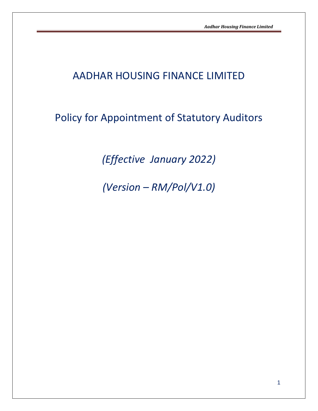# AADHAR HOUSING FINANCE LIMITED

# Policy for Appointment of Statutory Auditors

*(Effective January 2022)*

*(Version – RM/Pol/V1.0)*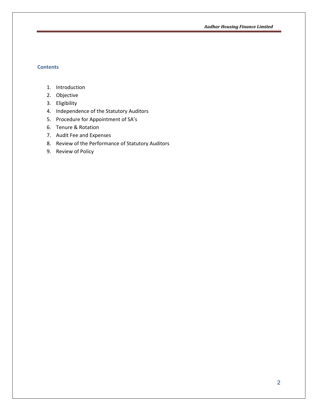*Aadhar Housing Finance Limited*

## **Contents**

- 1. Introduction
- 2. Objective
- 3. Eligibility
- 4. Independence of the Statutory Auditors
- 5. Procedure for Appointment of SA's
- 6. Tenure & Rotation
- 7. Audit Fee and Expenses
- 8. Review of the Performance of Statutory Auditors
- 9. Review of Policy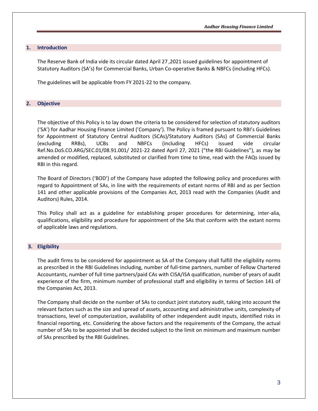### **1. Introduction**

The Reserve Bank of India vide its circular dated April 27 ,2021 issued guidelines for appointment of Statutory Auditors (SA's) for Commercial Banks, Urban Co-operative Banks & NBFCs (including HFCs).

The guidelines will be applicable from FY 2021-22 to the company.

## **2. Objective**

The objective of this Policy is to lay down the criteria to be considered for selection of statutory auditors ('SA') for Aadhar Housing Finance Limited ('Company'). The Policy is framed pursuant to RBI's Guidelines for Appointment of Statutory Central Auditors (SCAs)/Statutory Auditors (SAs) of Commercial Banks (excluding RRBs), UCBs and NBFCs (including HFCs) issued vide circular Ref.No.DoS.CO.ARG/SEC.01/08.91.001/ 2021-22 dated April 27, 2021 ("the RBI Guidelines"), as may be amended or modified, replaced, substituted or clarified from time to time, read with the FAQs issued by RBI in this regard.

The Board of Directors ('BOD') of the Company have adopted the following policy and procedures with regard to Appointment of SAs, in line with the requirements of extant norms of RBI and as per Section 141 and other applicable provisions of the Companies Act, 2013 read with the Companies (Audit and Auditors) Rules, 2014.

This Policy shall act as a guideline for establishing proper procedures for determining, inter-alia, qualifications, eligibility and procedure for appointment of the SAs that conform with the extant norms of applicable laws and regulations.

## **3. Eligibility**

The audit firms to be considered for appointment as SA of the Company shall fulfill the eligibility norms as prescribed in the RBI Guidelines including, number of full-time partners, number of Fellow Chartered Accountants, number of full time partners/paid CAs with CISA/ISA qualification, number of years of audit experience of the firm, minimum number of professional staff and eligibility in terms of Section 141 of the Companies Act, 2013.

The Company shall decide on the number of SAs to conduct joint statutory audit, taking into account the relevant factors such as the size and spread of assets, accounting and administrative units, complexity of transactions, level of computerization, availability of other independent audit inputs, identified risks in financial reporting, etc. Considering the above factors and the requirements of the Company, the actual number of SAs to be appointed shall be decided subject to the limit on minimum and maximum number of SAs prescribed by the RBI Guidelines.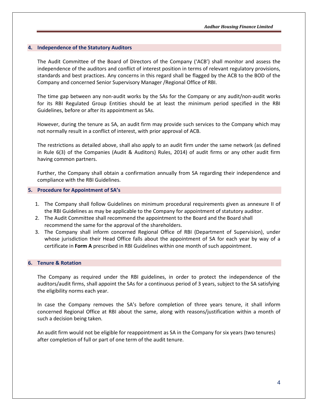## **4. Independence of the Statutory Auditors**

The Audit Committee of the Board of Directors of the Company ('ACB') shall monitor and assess the independence of the auditors and conflict of interest position in terms of relevant regulatory provisions, standards and best practices. Any concerns in this regard shall be flagged by the ACB to the BOD of the Company and concerned Senior Supervisory Manager /Regional Office of RBI.

The time gap between any non-audit works by the SAs for the Company or any audit/non-audit works for its RBI Regulated Group Entities should be at least the minimum period specified in the RBI Guidelines, before or after its appointment as SAs.

However, during the tenure as SA, an audit firm may provide such services to the Company which may not normally result in a conflict of interest, with prior approval of ACB.

The restrictions as detailed above, shall also apply to an audit firm under the same network (as defined in Rule 6(3) of the Companies (Audit & Auditors) Rules, 2014) of audit firms or any other audit firm having common partners.

Further, the Company shall obtain a confirmation annually from SA regarding their independence and compliance with the RBI Guidelines.

## **5. Procedure for Appointment of SA's**

- 1. The Company shall follow Guidelines on minimum procedural requirements given as annexure II of the RBI Guidelines as may be applicable to the Company for appointment of statutory auditor.
- 2. The Audit Committee shall recommend the appointment to the Board and the Board shall recommend the same for the approval of the shareholders.
- 3. The Company shall inform concerned Regional Office of RBI (Department of Supervision), under whose jurisdiction their Head Office falls about the appointment of SA for each year by way of a certificate in **Form A** prescribed in RBI Guidelines within one month of such appointment.

## **6. Tenure & Rotation**

The Company as required under the RBI guidelines, in order to protect the independence of the auditors/audit firms, shall appoint the SAs for a continuous period of 3 years, subject to the SA satisfying the eligibility norms each year.

In case the Company removes the SA's before completion of three years tenure, it shall inform concerned Regional Office at RBI about the same, along with reasons/justification within a month of such a decision being taken.

An audit firm would not be eligible for reappointment as SA in the Company for six years (two tenures) after completion of full or part of one term of the audit tenure.